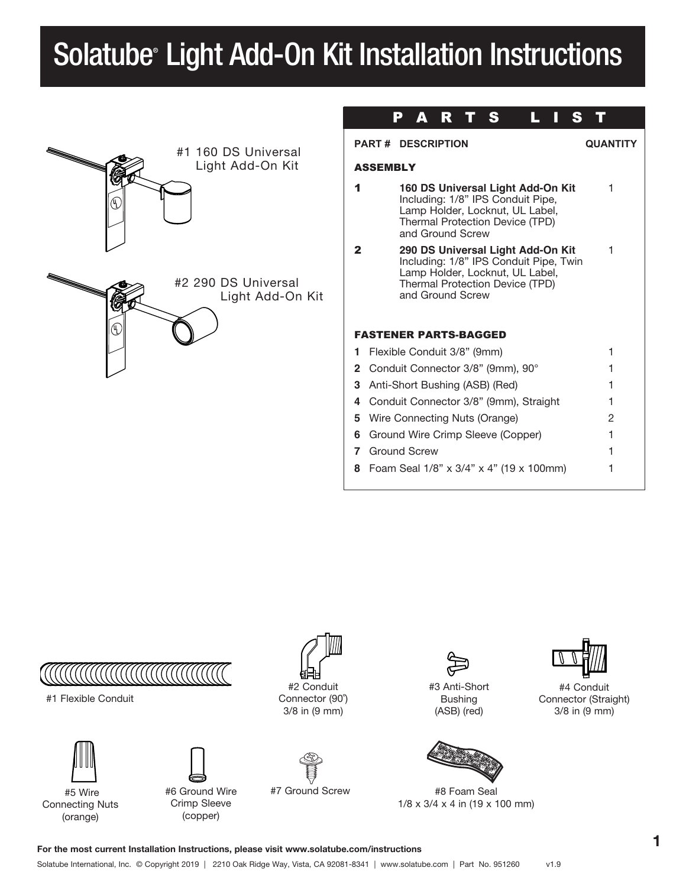# Solatube® Light Add-On Kit Installation Instructions

| R<br>Δ<br>Ð                                                                                                                                                                           |                 |
|---------------------------------------------------------------------------------------------------------------------------------------------------------------------------------------|-----------------|
| <b>PART # DESCRIPTION</b>                                                                                                                                                             | <b>QUANTITY</b> |
| <b>ASSEMBLY</b>                                                                                                                                                                       |                 |
| 160 DS Universal Light Add-On Kit<br>1<br>Including: 1/8" IPS Conduit Pipe,<br>Lamp Holder, Locknut, UL Label,<br>Thermal Protection Device (TPD)<br>and Ground Screw                 |                 |
| $\mathbf{2}$<br>290 DS Universal Light Add-On Kit<br>Including: 1/8" IPS Conduit Pipe, Twin<br>Lamp Holder, Locknut, UL Label,<br>Thermal Protection Device (TPD)<br>and Ground Screw |                 |
| <b>FASTENER PARTS-BAGGED</b>                                                                                                                                                          |                 |
| Flexible Conduit 3/8" (9mm)<br>1.                                                                                                                                                     |                 |
| Conduit Connector 3/8" (9mm), 90°<br>$\mathbf{2}^-$                                                                                                                                   |                 |
| Anti-Short Bushing (ASB) (Red)<br>З.                                                                                                                                                  |                 |
| 4 Conduit Connector 3/8" (9mm), Straight                                                                                                                                              |                 |
| Wire Connecting Nuts (Orange)<br>5.                                                                                                                                                   |                 |
| Ground Wire Crimp Sleeve (Copper)<br>6                                                                                                                                                |                 |
| <b>Ground Screw</b><br>7                                                                                                                                                              |                 |
| Foam Seal 1/8" x 3/4" x 4" (19 x 100mm)<br>8                                                                                                                                          |                 |
|                                                                                                                                                                                       |                 |



#1 Flexible Conduit



#6 Ground Wire Crimp Sleeve (copper)

#2 Conduit Connector (90˚)

3/8 in (9 mm)



#7 Ground Screw



#3 Anti-Short Bushing (ASB) (red)



#8 Foam Seal 1/8 x 3/4 x 4 in (19 x 100 mm)



#4 Conduit Connector (Straight) 3/8 in (9 mm)

For the most current Installation Instructions, please visit www.solatube.com/instructions

Solatube International, Inc. © Copyright 2019 | 2210 Oak Ridge Way, Vista, CA 92081-8341 | www.solatube.com | Part No. 951260 v1.9

I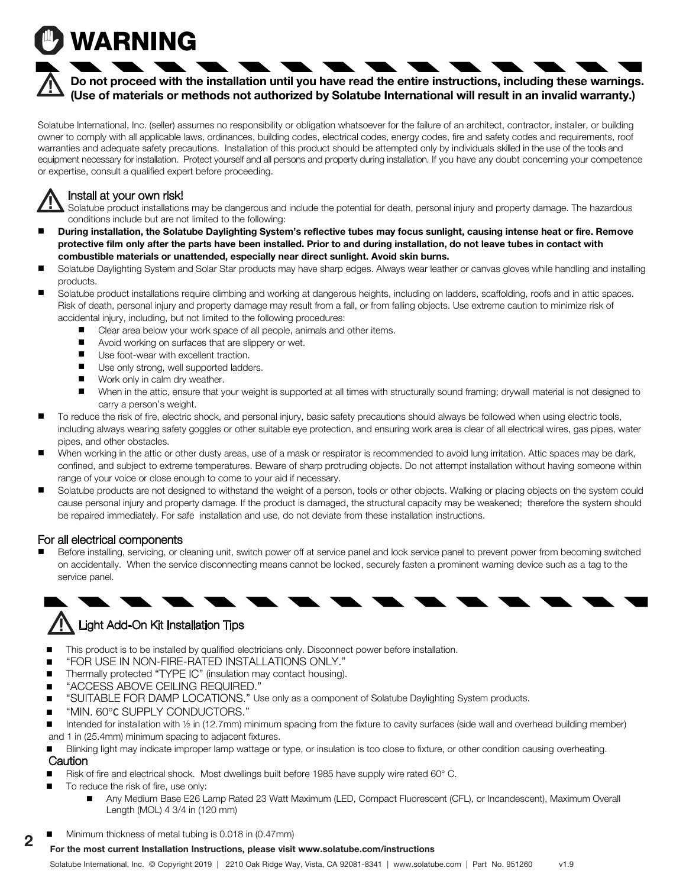# WARNING

## **Do not proceed with the installation until you have read the entire instructions, including these warnings. (Use of materials or methods not authorized by Solatube International will result in an invalid warranty.)**

Solatube International, Inc. (seller) assumes no responsibility or obligation whatsoever for the failure of an architect, contractor, installer, or building owner to comply with all applicable laws, ordinances, building codes, electrical codes, energy codes, fire and safety codes and requirements, roof warranties and adequate safety precautions. Installation of this product should be attempted only by individuals skilled in the use of the tools and equipment necessary for installation. Protect yourself and all persons and property during installation. If you have any doubt concerning your competence or expertise, consult a qualified expert before proceeding.

## Install at your own risk!

Solatube product installations may be dangerous and include the potential for death, personal injury and property damage. The hazardous conditions include but are not limited to the following:

- **During installation, the Solatube Daylighting System's reflective tubes may focus sunlight, causing intense heat or fire. Remove protective film only after the parts have been installed. Prior to and during installation, do not leave tubes in contact with combustible materials or unattended, especially near direct sunlight. Avoid skin burns.**
- Solatube Daylighting System and Solar Star products may have sharp edges. Always wear leather or canvas gloves while handling and installing products.
- Solatube product installations require climbing and working at dangerous heights, including on ladders, scaffolding, roofs and in attic spaces. Risk of death, personal injury and property damage may result from a fall, or from falling objects. Use extreme caution to minimize risk of accidental injury, including, but not limited to the following procedures:
	- Clear area below your work space of all people, animals and other items.
	- $\blacksquare$  Avoid working on surfaces that are slippery or wet.
	- $\blacksquare$  Use foot-wear with excellent traction.
		- **Day Day System** Daylighting System. To light a specific area, not in the system of the system over the system over the area, not in the system over the area, not in the center of the room. This will prevent the desired th
		- $\blacksquare$  Work only in calm dry weather.
	- When in the attic, ensure that your weight is supported at all times with structurally sound framing; drywall material is not designed to carry a person's weight.
- To reduce the risk of fire, electric shock, and personal injury, basic safety precautions should always be followed when using electric tools, including always wearing safety goggles or other suitable eye protection, and ensuring work area is clear of all electrical wires, gas pipes, water pipes, and other obstacles. Installation with damaging its waterproofing properties or weakening the building structure. The building structure or weakening the building structure. The building structure or weakening struc
- When working in the attic or other dusty areas, use of a mask or respirator is recommended to avoid lung irritation. Attic spaces may be dark, confined, and subject to extreme temperatures. Beware of sharp protruding objects. Do not attempt installation without having someone within range of your voice or close enough to come to your aid if necessary.
- Solatube products are not designed to withstand the weight of a person, tools or other objects. Walking or placing objects on the system could cause personal injury and property damage. If the product is damaged, the structural capacity may be weakened; therefore the system should be repaired immediately. For safe installation and use, do not deviate from these installation instructions.

## For all electrical components

■ Before installing, servicing, or cleaning unit, switch power off at service panel and lock service panel to prevent power from becoming switched on accidentally. When the service disconnecting means cannot be locked, securely fasten a prominent warning device such as a tag to the service panel. **Install Solatube Daylight Dimmer only on a properly aligned Solatube Daylight Dimmer only on a proper** 



# **IN** Light Add-On Kit Installation Tips

- This product is to be installed by qualified electricians only. Disconnect power before installation.
- $\blacksquare$  "FOR USE IN NON-FIRE-RATED INSTALLATIONS ONLY."
- Thermally protected "TYPE IC" (insulation may contact housing).
- "ACCESS ABOVE CEILING REQUIRED."
- "SUITABLE FOR DAMP LOCATIONS." Use only as a component of Solatube Daylighting System products.
- "MIN. 60°C SUPPLY CONDUCTORS."
- Intended for installation with 1/2 in (12.7mm) minimum spacing from the fixture to cavity surfaces (side wall and overhead building member) and 1 in (25.4mm) minimum spacing to adjacent fixtures.
- Blinking light may indicate improper lamp wattage or type, or insulation is too close to fixture, or other condition causing overheating. **Caution**
- **Prefabricat** Hire and electrical shock. Most dwellings built before 1985 have supply wire rated 60° C.
- To reduce the risk of fire, use only:
	- **For the most current Installation Instruction Instructions**  Any Medium Base E26 Lamp Rated 23 Watt Maximum (LED, Compact Fluorescent (CFL), or Incandescent), Maximum Overall Length (MOL) 4 3/4 in (120 mm)
- $\blacksquare$  Minimum thickness of metal tubing is 0.018 in (0.47mm) 2

#### For the most current Installation Instructions, please visit www.solatube.com/instructions .

Solatube International, Inc. © Copyright 2019 | 2210 Oak Ridge Way, Vista, CA 92081-8341 | www.solatube.com | Part No. 951260 v1.9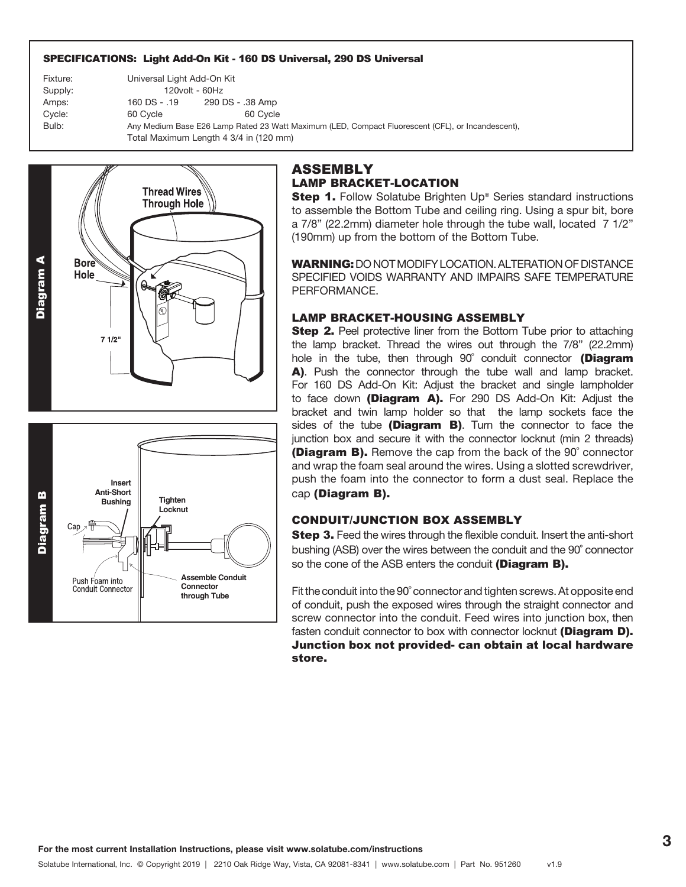#### SPECIFICATIONS: Light Add-On Kit - 160 DS Universal, 290 DS Universal

Fixture: Universal Light Add-On Kit Supply: 120volt - 60Hz Amps: 160 DS - .19 290 DS - .38 Amp Cycle: 60 Cycle 60 Cycle 60 Cycle Bulb: Any Medium Base E26 Lamp Rated 23 Watt Maximum (LED, Compact Fluorescent (CFL), or Incandescent), Total Maximum Length 4 3/4 in (120 mm)



### ASSEMBLY LAMP BRACKET-LOCATION

**Step 1.** Follow Solatube Brighten Up® Series standard instructions to assemble the Bottom Tube and ceiling ring. Using a spur bit, bore a 7/8" (22.2mm) diameter hole through the tube wall, located 7 1/2" (190mm) up from the bottom of the Bottom Tube.

WARNING: DO NOT MODIFY LOCATION. ALTERATION OF DISTANCE SPECIFIED VOIDS WARRANTY AND IMPAIRS SAFE TEMPERATURE PERFORMANCE.

#### LAMP BRACKET-HOUSING ASSEMBLY

**Step 2.** Peel protective liner from the Bottom Tube prior to attaching the lamp bracket. Thread the wires out through the 7/8" (22.2mm) hole in the tube, then through 90° conduit connector (Diagram A). Push the connector through the tube wall and lamp bracket. For 160 DS Add-On Kit: Adjust the bracket and single lampholder to face down (Diagram A). For 290 DS Add-On Kit: Adjust the bracket and twin lamp holder so that the lamp sockets face the sides of the tube (Diagram  $B$ ). Turn the connector to face the junction box and secure it with the connector locknut (min 2 threads) **(Diagram B).** Remove the cap from the back of the 90° connector and wrap the foam seal around the wires. Using a slotted screwdriver, push the foam into the connector to form a dust seal. Replace the cap (Diagram B).

#### CONDUIT/JUNCTION BOX ASSEMBLY

Step 3. Feed the wires through the flexible conduit. Insert the anti-short bushing (ASB) over the wires between the conduit and the 90˚ connector so the cone of the ASB enters the conduit (Diagram B).

Fit the conduit into the 90˚ connector and tighten screws. At opposite end of conduit, push the exposed wires through the straight connector and screw connector into the conduit. Feed wires into junction box, then fasten conduit connector to box with connector locknut (Diagram D). Junction box not provided- can obtain at local hardware store.